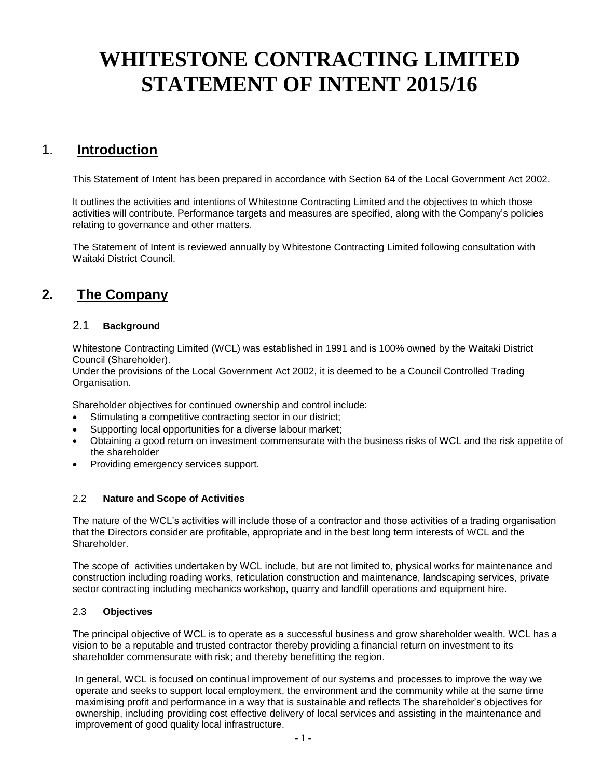# **WHITESTONE CONTRACTING LIMITED STATEMENT OF INTENT 2015/16**

# 1. **Introduction**

This Statement of Intent has been prepared in accordance with Section 64 of the Local Government Act 2002.

It outlines the activities and intentions of Whitestone Contracting Limited and the objectives to which those activities will contribute. Performance targets and measures are specified, along with the Company's policies relating to governance and other matters.

The Statement of Intent is reviewed annually by Whitestone Contracting Limited following consultation with Waitaki District Council.

# **2. The Company**

# 2.1 **Background**

Whitestone Contracting Limited (WCL) was established in 1991 and is 100% owned by the Waitaki District Council (Shareholder).

Under the provisions of the Local Government Act 2002, it is deemed to be a Council Controlled Trading Organisation.

Shareholder objectives for continued ownership and control include:

- Stimulating a competitive contracting sector in our district;
- Supporting local opportunities for a diverse labour market;
- Obtaining a good return on investment commensurate with the business risks of WCL and the risk appetite of the shareholder
- Providing emergency services support.

# 2.2 **Nature and Scope of Activities**

The nature of the WCL's activities will include those of a contractor and those activities of a trading organisation that the Directors consider are profitable, appropriate and in the best long term interests of WCL and the Shareholder.

The scope of activities undertaken by WCL include, but are not limited to, physical works for maintenance and construction including roading works, reticulation construction and maintenance, landscaping services, private sector contracting including mechanics workshop, quarry and landfill operations and equipment hire.

# 2.3 **Objectives**

The principal objective of WCL is to operate as a successful business and grow shareholder wealth. WCL has a vision to be a reputable and trusted contractor thereby providing a financial return on investment to its shareholder commensurate with risk; and thereby benefitting the region.

In general, WCL is focused on continual improvement of our systems and processes to improve the way we operate and seeks to support local employment, the environment and the community while at the same time maximising profit and performance in a way that is sustainable and reflects The shareholder's objectives for ownership, including providing cost effective delivery of local services and assisting in the maintenance and improvement of good quality local infrastructure.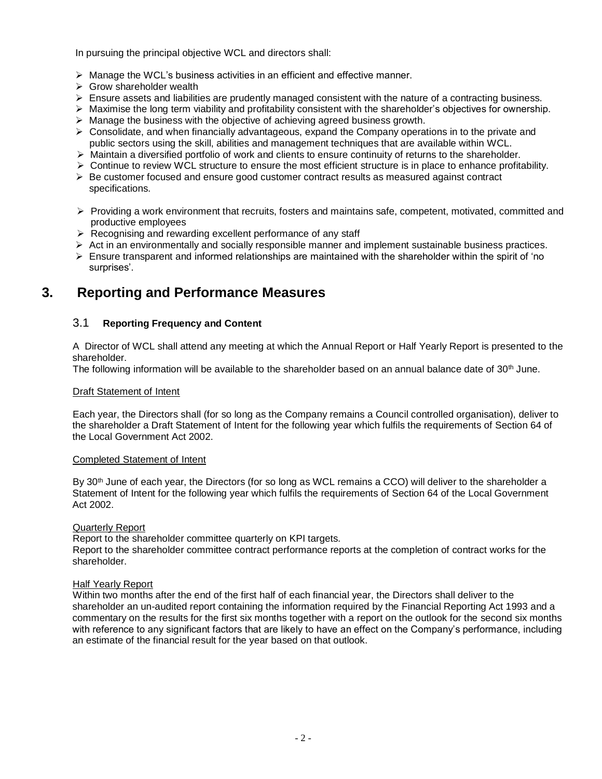In pursuing the principal objective WCL and directors shall:

- ➢ Manage the WCL's business activities in an efficient and effective manner.
- $\triangleright$  Grow shareholder wealth
- ➢ Ensure assets and liabilities are prudently managed consistent with the nature of a contracting business.
- $\triangleright$  Maximise the long term viability and profitability consistent with the shareholder's objectives for ownership.
- $\triangleright$  Manage the business with the objective of achieving agreed business growth.
- $\triangleright$  Consolidate, and when financially advantageous, expand the Company operations in to the private and public sectors using the skill, abilities and management techniques that are available within WCL.
- ➢ Maintain a diversified portfolio of work and clients to ensure continuity of returns to the shareholder.
- $\triangleright$  Continue to review WCL structure to ensure the most efficient structure is in place to enhance profitability.
- $\triangleright$  Be customer focused and ensure good customer contract results as measured against contract specifications.
- ➢ Providing a work environment that recruits, fosters and maintains safe, competent, motivated, committed and productive employees
- ➢ Recognising and rewarding excellent performance of any staff
- ➢ Act in an environmentally and socially responsible manner and implement sustainable business practices.
- $\triangleright$  Ensure transparent and informed relationships are maintained with the shareholder within the spirit of 'no surprises'.

# **3. Reporting and Performance Measures**

# 3.1 **Reporting Frequency and Content**

A Director of WCL shall attend any meeting at which the Annual Report or Half Yearly Report is presented to the shareholder.

The following information will be available to the shareholder based on an annual balance date of  $30<sup>th</sup>$  June.

## Draft Statement of Intent

Each year, the Directors shall (for so long as the Company remains a Council controlled organisation), deliver to the shareholder a Draft Statement of Intent for the following year which fulfils the requirements of Section 64 of the Local Government Act 2002.

## Completed Statement of Intent

By 30<sup>th</sup> June of each year, the Directors (for so long as WCL remains a CCO) will deliver to the shareholder a Statement of Intent for the following year which fulfils the requirements of Section 64 of the Local Government Act 2002.

## Quarterly Report

Report to the shareholder committee quarterly on KPI targets.

Report to the shareholder committee contract performance reports at the completion of contract works for the shareholder.

## Half Yearly Report

Within two months after the end of the first half of each financial year, the Directors shall deliver to the shareholder an un-audited report containing the information required by the Financial Reporting Act 1993 and a commentary on the results for the first six months together with a report on the outlook for the second six months with reference to any significant factors that are likely to have an effect on the Company's performance, including an estimate of the financial result for the year based on that outlook.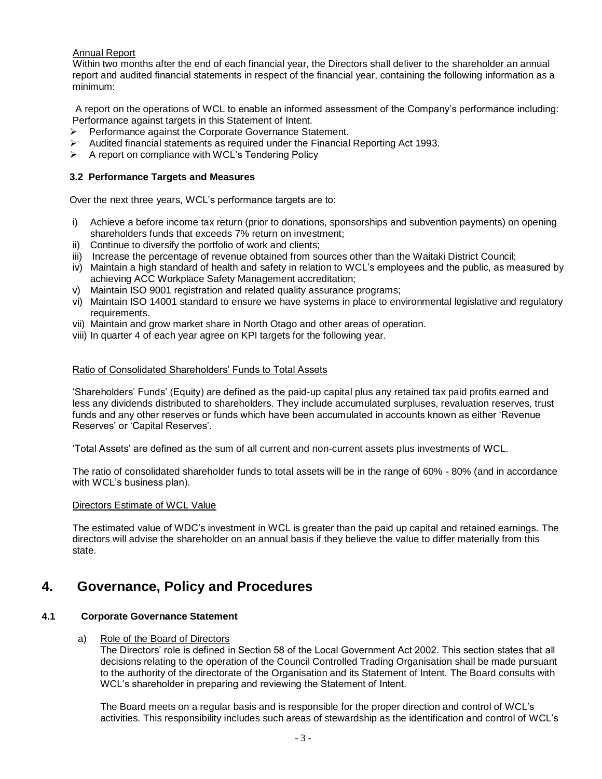# Annual Report

Within two months after the end of each financial year, the Directors shall deliver to the shareholder an annual report and audited financial statements in respect of the financial year, containing the following information as a minimum:

A report on the operations of WCL to enable an informed assessment of the Company's performance including: Performance against targets in this Statement of Intent.

- ➢ Performance against the Corporate Governance Statement.
- $\triangleright$  Audited financial statements as required under the Financial Reporting Act 1993.
- ➢ A report on compliance with WCL's Tendering Policy

# **3.2 Performance Targets and Measures**

Over the next three years, WCL's performance targets are to:

- i) Achieve a before income tax return (prior to donations, sponsorships and subvention payments) on opening shareholders funds that exceeds 7% return on investment;
- ii) Continue to diversify the portfolio of work and clients;
- iii) Increase the percentage of revenue obtained from sources other than the Waitaki District Council;
- iv) Maintain a high standard of health and safety in relation to WCL's employees and the public, as measured by achieving ACC Workplace Safety Management accreditation;
- v) Maintain ISO 9001 registration and related quality assurance programs;
- vi) Maintain ISO 14001 standard to ensure we have systems in place to environmental legislative and regulatory requirements.
- vii) Maintain and grow market share in North Otago and other areas of operation.
- viii) In quarter 4 of each year agree on KPI targets for the following year.

# Ratio of Consolidated Shareholders' Funds to Total Assets

'Shareholders' Funds' (Equity) are defined as the paid-up capital plus any retained tax paid profits earned and less any dividends distributed to shareholders. They include accumulated surpluses, revaluation reserves, trust funds and any other reserves or funds which have been accumulated in accounts known as either 'Revenue Reserves' or 'Capital Reserves'.

'Total Assets' are defined as the sum of all current and non-current assets plus investments of WCL.

The ratio of consolidated shareholder funds to total assets will be in the range of 60% - 80% (and in accordance with WCL's business plan).

## Directors Estimate of WCL Value

The estimated value of WDC's investment in WCL is greater than the paid up capital and retained earnings. The directors will advise the shareholder on an annual basis if they believe the value to differ materially from this state.

# **4. Governance, Policy and Procedures**

# **4.1 Corporate Governance Statement**

## a) Role of the Board of Directors

The Directors' role is defined in Section 58 of the Local Government Act 2002. This section states that all decisions relating to the operation of the Council Controlled Trading Organisation shall be made pursuant to the authority of the directorate of the Organisation and its Statement of Intent. The Board consults with WCL's shareholder in preparing and reviewing the Statement of Intent.

The Board meets on a regular basis and is responsible for the proper direction and control of WCL's activities. This responsibility includes such areas of stewardship as the identification and control of WCL's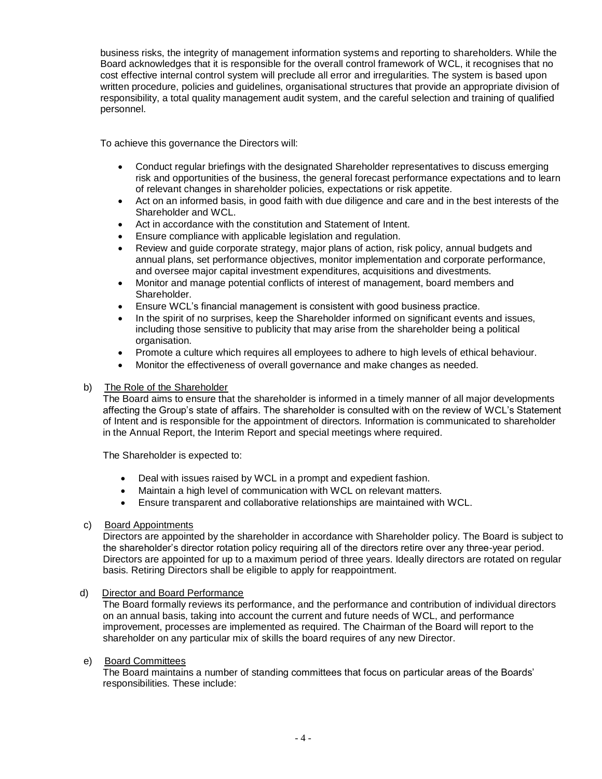business risks, the integrity of management information systems and reporting to shareholders. While the Board acknowledges that it is responsible for the overall control framework of WCL, it recognises that no cost effective internal control system will preclude all error and irregularities. The system is based upon written procedure, policies and guidelines, organisational structures that provide an appropriate division of responsibility, a total quality management audit system, and the careful selection and training of qualified personnel.

To achieve this governance the Directors will:

- Conduct regular briefings with the designated Shareholder representatives to discuss emerging risk and opportunities of the business, the general forecast performance expectations and to learn of relevant changes in shareholder policies, expectations or risk appetite.
- Act on an informed basis, in good faith with due diligence and care and in the best interests of the Shareholder and WCL.
- Act in accordance with the constitution and Statement of Intent.
- Ensure compliance with applicable legislation and regulation.
- Review and guide corporate strategy, major plans of action, risk policy, annual budgets and annual plans, set performance objectives, monitor implementation and corporate performance, and oversee major capital investment expenditures, acquisitions and divestments.
- Monitor and manage potential conflicts of interest of management, board members and Shareholder.
- Ensure WCL's financial management is consistent with good business practice.
- In the spirit of no surprises, keep the Shareholder informed on significant events and issues, including those sensitive to publicity that may arise from the shareholder being a political organisation.
- Promote a culture which requires all employees to adhere to high levels of ethical behaviour.
- Monitor the effectiveness of overall governance and make changes as needed.

#### b) The Role of the Shareholder

The Board aims to ensure that the shareholder is informed in a timely manner of all major developments affecting the Group's state of affairs. The shareholder is consulted with on the review of WCL's Statement of Intent and is responsible for the appointment of directors. Information is communicated to shareholder in the Annual Report, the Interim Report and special meetings where required.

The Shareholder is expected to:

- Deal with issues raised by WCL in a prompt and expedient fashion.
- Maintain a high level of communication with WCL on relevant matters.
- Ensure transparent and collaborative relationships are maintained with WCL.

## c) Board Appointments

Directors are appointed by the shareholder in accordance with Shareholder policy. The Board is subject to the shareholder's director rotation policy requiring all of the directors retire over any three-year period. Directors are appointed for up to a maximum period of three years. Ideally directors are rotated on regular basis. Retiring Directors shall be eligible to apply for reappointment.

## d) Director and Board Performance

The Board formally reviews its performance, and the performance and contribution of individual directors on an annual basis, taking into account the current and future needs of WCL, and performance improvement, processes are implemented as required. The Chairman of the Board will report to the shareholder on any particular mix of skills the board requires of any new Director.

#### e) Board Committees

The Board maintains a number of standing committees that focus on particular areas of the Boards' responsibilities. These include: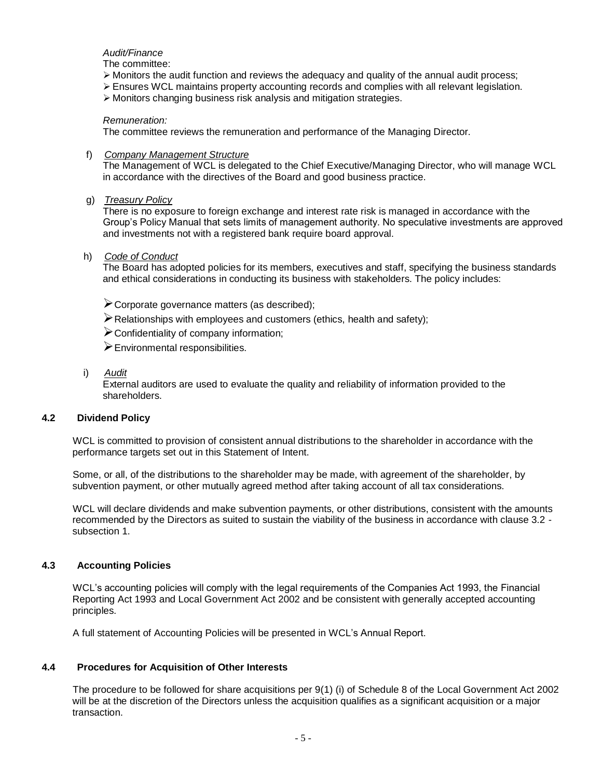*Audit/Finance*

The committee:

- $\triangleright$  Monitors the audit function and reviews the adequacy and quality of the annual audit process;
- ➢ Ensures WCL maintains property accounting records and complies with all relevant legislation.
- ➢ Monitors changing business risk analysis and mitigation strategies.

#### *Remuneration:*

The committee reviews the remuneration and performance of the Managing Director.

f) *Company Management Structure*

The Management of WCL is delegated to the Chief Executive/Managing Director, who will manage WCL in accordance with the directives of the Board and good business practice.

g) *Treasury Policy*

There is no exposure to foreign exchange and interest rate risk is managed in accordance with the Group's Policy Manual that sets limits of management authority. No speculative investments are approved and investments not with a registered bank require board approval.

#### h) *Code of Conduct*

The Board has adopted policies for its members, executives and staff, specifying the business standards and ethical considerations in conducting its business with stakeholders. The policy includes:

- ➢Corporate governance matters (as described);
- $\triangleright$  Relationships with employees and customers (ethics, health and safety);
- ➢Confidentiality of company information;
- ➢Environmental responsibilities.
- i) *Audit*

External auditors are used to evaluate the quality and reliability of information provided to the shareholders.

## **4.2 Dividend Policy**

WCL is committed to provision of consistent annual distributions to the shareholder in accordance with the performance targets set out in this Statement of Intent.

Some, or all, of the distributions to the shareholder may be made, with agreement of the shareholder, by subvention payment, or other mutually agreed method after taking account of all tax considerations.

WCL will declare dividends and make subvention payments, or other distributions, consistent with the amounts recommended by the Directors as suited to sustain the viability of the business in accordance with clause 3.2 subsection 1.

# **4.3 Accounting Policies**

WCL's accounting policies will comply with the legal requirements of the Companies Act 1993, the Financial Reporting Act 1993 and Local Government Act 2002 and be consistent with generally accepted accounting principles.

A full statement of Accounting Policies will be presented in WCL's Annual Report.

## **4.4 Procedures for Acquisition of Other Interests**

The procedure to be followed for share acquisitions per 9(1) (i) of Schedule 8 of the Local Government Act 2002 will be at the discretion of the Directors unless the acquisition qualifies as a significant acquisition or a major transaction.